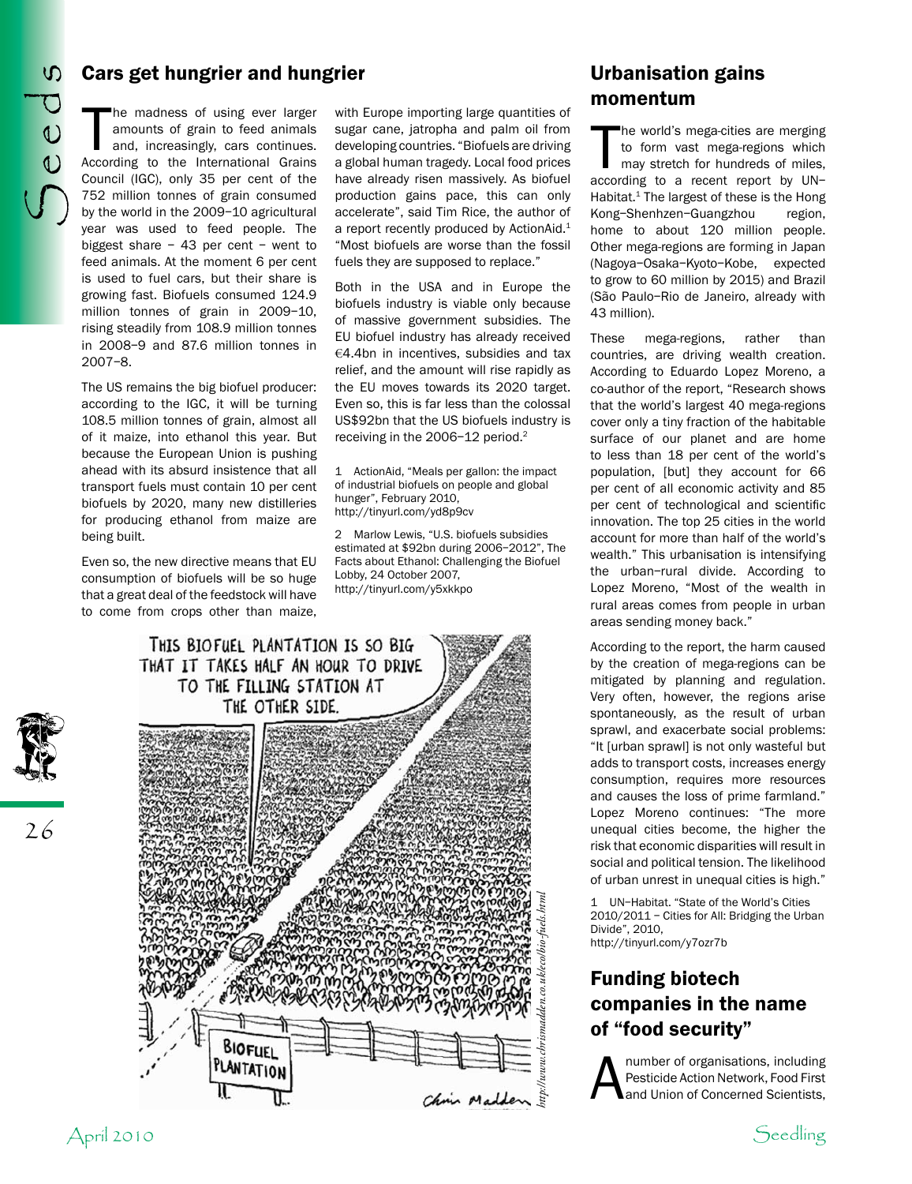## Cars get hungrier and hungrier

he madness of using ever larger amounts of grain to feed animals and, increasingly, cars continues. According to the International Grains Council (IGC), only 35 per cent of the 752 million tonnes of grain consumed by the world in the 2009–10 agricultural year was used to feed people. The biggest share – 43 per cent – went to feed animals. At the moment 6 per cent is used to fuel cars, but their share is growing fast. Biofuels consumed 124.9 million tonnes of grain in 2009–10, rising steadily from 108.9 million tonnes in 2008–9 and 87.6 million tonnes in 2007–8.

The US remains the big biofuel producer: according to the IGC, it will be turning 108.5 million tonnes of grain, almost all of it maize, into ethanol this year. But because the European Union is pushing ahead with its absurd insistence that all transport fuels must contain 10 per cent biofuels by 2020, many new distilleries for producing ethanol from maize are being built.

Even so, the new directive means that EU consumption of biofuels will be so huge that a great deal of the feedstock will have to come from crops other than maize,

with Europe importing large quantities of sugar cane, jatropha and palm oil from developing countries. "Biofuels are driving a global human tragedy. Local food prices have already risen massively. As biofuel production gains pace, this can only accelerate", said Tim Rice, the author of a report recently produced by ActionAid.<sup>1</sup> "Most biofuels are worse than the fossil fuels they are supposed to replace."

Both in the USA and in Europe the biofuels industry is viable only because of massive government subsidies. The EU biofuel industry has already received €4.4bn in incentives, subsidies and tax relief, and the amount will rise rapidly as the EU moves towards its 2020 target. Even so, this is far less than the colossal US\$92bn that the US biofuels industry is receiving in the 2006–12 period.2

1 ActionAid, "Meals per gallon: the impact of industrial biofuels on people and global hunger", February 2010, http://tinyurl.com/yd8p9cv

2 Marlow Lewis, "U.S. biofuels subsidies estimated at \$92bn during 2006–2012", The Facts about Ethanol: Challenging the Biofuel Lobby, 24 October 2007, http://tinyurl.com/y5xkkpo



## Urbanisation gains momentum

The world's mega-cities are merging<br>to form vast mega-regions which<br>may stretch for hundreds of miles,<br>according to a recent report by UNhe world's mega-cities are merging to form vast mega-regions which may stretch for hundreds of miles, Habitat. $1$  The largest of these is the Hong Kong–Shenhzen–Guangzhou region, home to about 120 million people. Other mega-regions are forming in Japan (Nagoya–Osaka–Kyoto–Kobe, expected to grow to 60 million by 2015) and Brazil (São Paulo–Rio de Janeiro, already with 43 million).

These mega-regions, rather than countries, are driving wealth creation. According to Eduardo Lopez Moreno, a co-author of the report, "Research shows that the world's largest 40 mega-regions cover only a tiny fraction of the habitable surface of our planet and are home to less than 18 per cent of the world's population, [but] they account for 66 per cent of all economic activity and 85 per cent of technological and scientific innovation. The top 25 cities in the world account for more than half of the world's wealth." This urbanisation is intensifying the urban–rural divide. According to Lopez Moreno, "Most of the wealth in rural areas comes from people in urban areas sending money back."

According to the report, the harm caused by the creation of mega-regions can be mitigated by planning and regulation. Very often, however, the regions arise spontaneously, as the result of urban sprawl, and exacerbate social problems: "It [urban sprawl] is not only wasteful but adds to transport costs, increases energy consumption, requires more resources and causes the loss of prime farmland." Lopez Moreno continues: "The more unequal cities become, the higher the risk that economic disparities will result in social and political tension. The likelihood of urban unrest in unequal cities is high."

1 UN–Habitat. "State of the World's Cities 2010/2011 – Cities for All: Bridging the Urban Divide", 2010, http://tinyurl.com/y7ozr7b

# Funding biotech companies in the name of "food security"

A number of organisations, including<br>Pesticide Action Network, Food First<br>and Union of Concerned Scientists, Pesticide Action Network, Food First